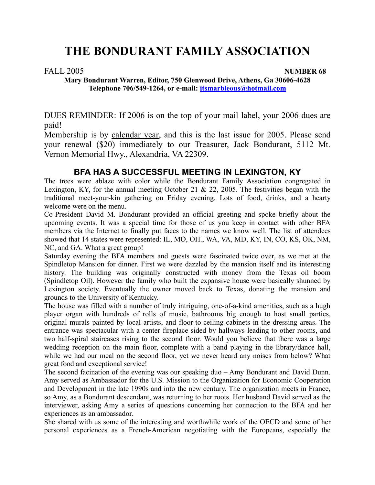# FALL 2005 **NUMBER 68**

**Mary Bondurant Warren, Editor, 750 Glenwood Drive, Athens, Ga 30606-4628 Telephone 706/549-1264, or e-mail: itsmarbleous@hotmail.com**

DUES REMINDER: If 2006 is on the top of your mail label, your 2006 dues are paid!

Membership is by calendar year, and this is the last issue for 2005. Please send your renewal (\$20) immediately to our Treasurer, Jack Bondurant, 5112 Mt. Vernon Memorial Hwy., Alexandria, VA 22309.

# **BFA HAS A SUCCESSFUL MEETING IN LEXINGTON, KY**

The trees were ablaze with color while the Bondurant Family Association congregated in Lexington, KY, for the annual meeting October 21  $\&$  22, 2005. The festivities began with the traditional meet-your-kin gathering on Friday evening. Lots of food, drinks, and a hearty welcome were on the menu.

Co-President David M. Bondurant provided an official greeting and spoke briefly about the upcoming events. It was a special time for those of us you keep in contact with other BFA members via the Internet to finally put faces to the names we know well. The list of attendees showed that 14 states were represented: IL, MO, OH., WA, VA, MD, KY, IN, CO, KS, OK, NM, NC, and GA. What a great group!

Saturday evening the BFA members and guests were fascinated twice over, as we met at the Spindletop Mansion for dinner. First we were dazzled by the mansion itself and its interesting history. The building was originally constructed with money from the Texas oil boom (Spindletop Oil). However the family who built the expansive house were basically shunned by Lexington society. Eventually the owner moved back to Texas, donating the mansion and grounds to the University of Kentucky.

The house was filled with a number of truly intriguing, one-of-a-kind amenities, such as a hugh player organ with hundreds of rolls of music, bathrooms big enough to host small parties, original murals painted by local artists, and floor-to-ceiling cabinets in the dressing areas. The entrance was spectacular with a center fireplace sided by hallways leading to other rooms, and two half-spiral staircases rising to the second floor. Would you believe that there was a large wedding reception on the main floor, complete with a band playing in the library/dance hall, while we had our meal on the second floor, yet we never heard any noises from below? What great food and exceptional service!

The second facination of the evening was our speaking duo – Amy Bondurant and David Dunn. Amy served as Ambassador for the U.S. Mission to the Organization for Economic Cooperation and Development in the late 1990s and into the new century. The organization meets in France, so Amy, as a Bondurant descendant, was returning to her roots. Her husband David served as the interviewer, asking Amy a series of questions concerning her connection to the BFA and her experiences as an ambassador.

She shared with us some of the interesting and worthwhile work of the OECD and some of her personal experiences as a French-American negotiating with the Europeans, especially the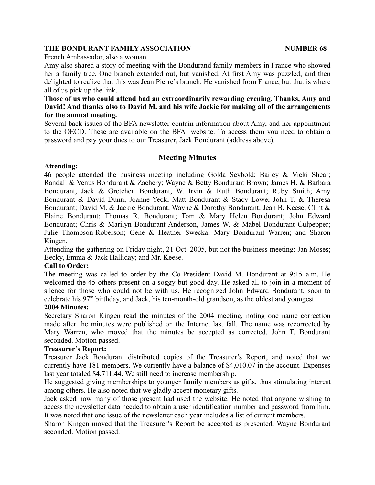French Ambassador, also a woman.

Amy also shared a story of meeting with the Bondurand family members in France who showed her a family tree. One branch extended out, but vanished. At first Amy was puzzled, and then delighted to realize that this was Jean Pierre's branch. He vanished from France, but that is where all of us pick up the link.

# **Those of us who could attend had an extraordinarily rewarding evening. Thanks, Amy and David! And thanks also to David M. and his wife Jackie for making all of the arrangements for the annual meeting.**

Several back issues of the BFA newsletter contain information about Amy, and her appointment to the OECD. These are available on the BFA website. To access them you need to obtain a password and pay your dues to our Treasurer, Jack Bondurant (address above).

# **Meeting Minutes**

# **Attending:**

46 people attended the business meeting including Golda Seybold; Bailey & Vicki Shear; Randall & Venus Bondurant & Zachery; Wayne & Betty Bondurant Brown; James H. & Barbara Bondurant, Jack & Gretchen Bondurant, W. Irvin & Ruth Bondurant; Ruby Smith; Amy Bondurant & David Dunn; Joanne Yeck; Matt Bondurant & Stacy Lowe; John T. & Theresa Bondurant; David M. & Jackie Bondurant; Wayne & Dorothy Bondurant; Jean B. Keese; Clint & Elaine Bondurant; Thomas R. Bondurant; Tom & Mary Helen Bondurant; John Edward Bondurant; Chris & Marilyn Bondurant Anderson, James W. & Mabel Bondurant Culpepper; Julie Thompson-Roberson; Gene & Heather Swecka; Mary Bondurant Warren; and Sharon Kingen.

Attending the gathering on Friday night, 21 Oct. 2005, but not the business meeting: Jan Moses; Becky, Emma & Jack Halliday; and Mr. Keese.

# **Call to Order:**

The meeting was called to order by the Co-President David M. Bondurant at 9:15 a.m. He welcomed the 45 others present on a soggy but good day. He asked all to join in a moment of silence for those who could not be with us. He recognized John Edward Bondurant, soon to celebrate his  $97<sup>th</sup>$  birthday, and Jack, his ten-month-old grandson, as the oldest and youngest.

# **2004 Minutes:**

Secretary Sharon Kingen read the minutes of the 2004 meeting, noting one name correction made after the minutes were published on the Internet last fall. The name was recorrected by Mary Warren, who moved that the minutes be accepted as corrected. John T. Bondurant seconded. Motion passed.

# **Treasurer's Report:**

Treasurer Jack Bondurant distributed copies of the Treasurer's Report, and noted that we currently have 181 members. We currently have a balance of \$4,010.07 in the account. Expenses last year totaled \$4,711.44. We still need to increase membership.

He suggested giving memberships to younger family members as gifts, thus stimulating interest among others. He also noted that we gladly accept monetary gifts.

Jack asked how many of those present had used the website. He noted that anyone wishing to access the newsletter data needed to obtain a user identification number and password from him. It was noted that one issue of the newsletter each year includes a list of current members.

Sharon Kingen moved that the Treasurer's Report be accepted as presented. Wayne Bondurant seconded. Motion passed.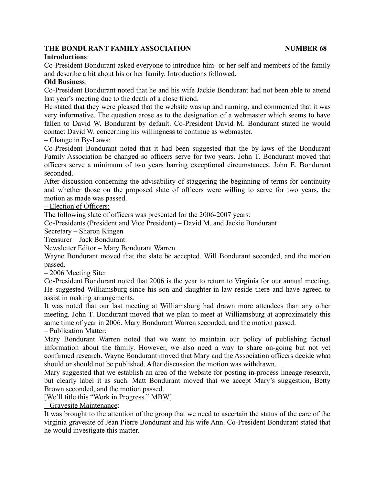# **Introductions**:

Co-President Bondurant asked everyone to introduce him- or her-self and members of the family and describe a bit about his or her family. Introductions followed.

# **Old Business**:

Co-President Bondurant noted that he and his wife Jackie Bondurant had not been able to attend last year's meeting due to the death of a close friend.

He stated that they were pleased that the website was up and running, and commented that it was very informative. The question arose as to the designation of a webmaster which seems to have fallen to David W. Bondurant by default. Co-President David M. Bondurant stated he would contact David W. concerning his willingness to continue as webmaster.

# – Change in By-Laws:

Co-President Bondurant noted that it had been suggested that the by-laws of the Bondurant Family Association be changed so officers serve for two years. John T. Bondurant moved that officers serve a minimum of two years barring exceptional circumstances. John E. Bondurant seconded.

After discussion concerning the advisability of staggering the beginning of terms for continuity and whether those on the proposed slate of officers were willing to serve for two years, the motion as made was passed.

# – Election of Officers:

The following slate of officers was presented for the 2006-2007 years:

Co-Presidents (President and Vice President) – David M. and Jackie Bondurant

Secretary – Sharon Kingen

Treasurer – Jack Bondurant

Newsletter Editor – Mary Bondurant Warren.

Wayne Bondurant moved that the slate be accepted. Will Bondurant seconded, and the motion passed.

– 2006 Meeting Site:

Co-President Bondurant noted that 2006 is the year to return to Virginia for our annual meeting. He suggested Williamsburg since his son and daughter-in-law reside there and have agreed to assist in making arrangements.

It was noted that our last meeting at Williamsburg had drawn more attendees than any other meeting. John T. Bondurant moved that we plan to meet at Williamsburg at approximately this same time of year in 2006. Mary Bondurant Warren seconded, and the motion passed.

# – Publication Matter:

Mary Bondurant Warren noted that we want to maintain our policy of publishing factual information about the family. However, we also need a way to share on-going but not yet confirmed research. Wayne Bondurant moved that Mary and the Association officers decide what should or should not be published. After discussion the motion was withdrawn.

Mary suggested that we establish an area of the website for posting in-process lineage research, but clearly label it as such. Matt Bondurant moved that we accept Mary's suggestion, Betty Brown seconded, and the motion passed.

[We'll title this "Work in Progress." MBW]

– Gravesite Maintenance:

It was brought to the attention of the group that we need to ascertain the status of the care of the virginia gravesite of Jean Pierre Bondurant and his wife Ann. Co-President Bondurant stated that he would investigate this matter.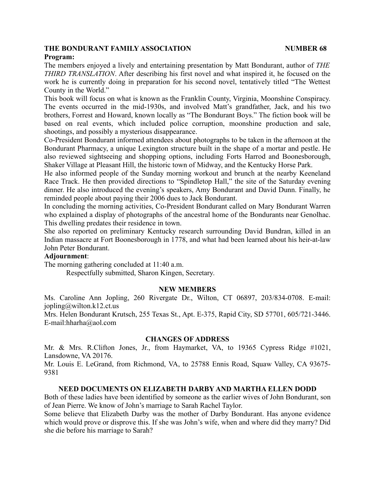#### **Program:**

The members enjoyed a lively and entertaining presentation by Matt Bondurant, author of *THE THIRD TRANSLATION*. After describing his first novel and what inspired it, he focused on the work he is currently doing in preparation for his second novel, tentatively titled "The Wettest County in the World."

This book will focus on what is known as the Franklin County, Virginia, Moonshine Conspiracy. The events occurred in the mid-1930s, and involved Matt's grandfather, Jack, and his two brothers, Forrest and Howard, known locally as "The Bondurant Boys." The fiction book will be based on real events, which included police corruption, moonshine production and sale, shootings, and possibly a mysterious disappearance.

Co-President Bondurant informed attendees about photographs to be taken in the afternoon at the Bondurant Pharmacy, a unique Lexington structure built in the shape of a mortar and pestle. He also reviewed sightseeing and shopping options, including Forts Harrod and Boonesborough, Shaker Village at Pleasant Hill, the historic town of Midway, and the Kentucky Horse Park.

He also informed people of the Sunday morning workout and brunch at the nearby Keeneland Race Track. He then provided directions to "Spindletop Hall," the site of the Saturday evening dinner. He also introduced the evening's speakers, Amy Bondurant and David Dunn. Finally, he reminded people about paying their 2006 dues to Jack Bondurant.

In concluding the morning activities, Co-President Bondurant called on Mary Bondurant Warren who explained a display of photographs of the ancestral home of the Bondurants near Genolhac. This dwelling predates their residence in town.

She also reported on preliminary Kentucky research surrounding David Bundran, killed in an Indian massacre at Fort Boonesborough in 1778, and what had been learned about his heir-at-law John Peter Bondurant.

# **Adjournment**:

The morning gathering concluded at 11:40 a.m.

Respectfully submitted, Sharon Kingen, Secretary.

#### **NEW MEMBERS**

Ms. Caroline Ann Jopling, 260 Rivergate Dr., Wilton, CT 06897, 203/834-0708. E-mail:  $jophing@$ wilton.k12.ct.us

Mrs. Helen Bondurant Krutsch, 255 Texas St., Apt. E-375, Rapid City, SD 57701, 605/721-3446. E-mail:hharha@aol.com

#### **CHANGES OF ADDRESS**

Mr. & Mrs. R.Clifton Jones, Jr., from Haymarket, VA, to 19365 Cypress Ridge #1021, Lansdowne, VA 20176.

Mr. Louis E. LeGrand, from Richmond, VA, to 25788 Ennis Road, Squaw Valley, CA 93675- 9381

#### **NEED DOCUMENTS ON ELIZABETH DARBY AND MARTHA ELLEN DODD**

Both of these ladies have been identified by someone as the earlier wives of John Bondurant, son of Jean Pierre. We know of John's marriage to Sarah Rachel Taylor.

Some believe that Elizabeth Darby was the mother of Darby Bondurant. Has anyone evidence which would prove or disprove this. If she was John's wife, when and where did they marry? Did she die before his marriage to Sarah?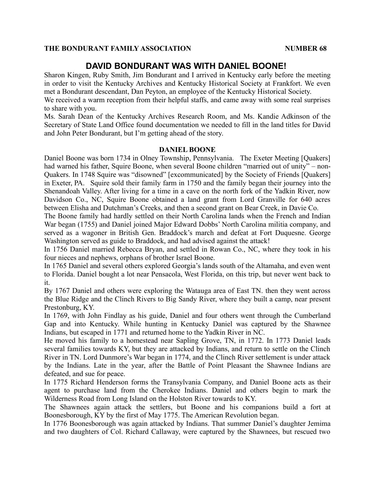# **DAVID BONDURANT WAS WITH DANIEL BOONE!**

Sharon Kingen, Ruby Smith, Jim Bondurant and I arrived in Kentucky early before the meeting in order to visit the Kentucky Archives and Kentucky Historical Society at Frankfort. We even met a Bondurant descendant, Dan Peyton, an employee of the Kentucky Historical Society.

We received a warm reception from their helpful staffs, and came away with some real surprises to share with you.

Ms. Sarah Dean of the Kentucky Archives Research Room, and Ms. Kandie Adkinson of the Secretary of State Land Office found documentation we needed to fill in the land titles for David and John Peter Bondurant, but I'm getting ahead of the story.

#### **DANIEL BOONE**

Daniel Boone was born 1734 in Olney Township, Pennsylvania. The Exeter Meeting [Quakers] had warned his father, Squire Boone, when several Boone children "married out of unity" – non-Quakers. In 1748 Squire was "disowned" [excommunicated] by the Society of Friends [Quakers] in Exeter, PA. Squire sold their family farm in 1750 and the family began their journey into the Shenandoah Valley. After living for a time in a cave on the north fork of the Yadkin River, now Davidson Co., NC, Squire Boone obtained a land grant from Lord Granville for 640 acres between Elisha and Dutchman's Creeks, and then a second grant on Bear Creek, in Davie Co.

The Boone family had hardly settled on their North Carolina lands when the French and Indian War began (1755) and Daniel joined Major Edward Dobbs' North Carolina militia company, and served as a wagoner in British Gen. Braddock's march and defeat at Fort Duquesne. George Washington served as guide to Braddock, and had advised against the attack!

In 1756 Daniel married Rebecca Bryan, and settled in Rowan Co., NC, where they took in his four nieces and nephews, orphans of brother Israel Boone.

In 1765 Daniel and several others explored Georgia's lands south of the Altamaha, and even went to Florida. Daniel bought a lot near Pensacola, West Florida, on this trip, but never went back to it.

By 1767 Daniel and others were exploring the Watauga area of East TN. then they went across the Blue Ridge and the Clinch Rivers to Big Sandy River, where they built a camp, near present Prestonburg, KY.

In 1769, with John Findlay as his guide, Daniel and four others went through the Cumberland Gap and into Kentucky. While hunting in Kentucky Daniel was captured by the Shawnee Indians, but escaped in 1771 and returned home to the Yadkin River in NC.

He moved his family to a homestead near Sapling Grove, TN, in 1772. In 1773 Daniel leads several families towards KY, but they are attacked by Indians, and return to settle on the Clinch River in TN. Lord Dunmore's War began in 1774, and the Clinch River settlement is under attack by the Indians. Late in the year, after the Battle of Point Pleasant the Shawnee Indians are defeated, and sue for peace.

In 1775 Richard Henderson forms the Transylvania Company, and Daniel Boone acts as their agent to purchase land from the Cherokee Indians. Daniel and others begin to mark the Wilderness Road from Long Island on the Holston River towards to KY.

The Shawnees again attack the settlers, but Boone and his companions build a fort at Boonesborough, KY by the first of May 1775. The American Revolution began.

In 1776 Boonesborough was again attacked by Indians. That summer Daniel's daughter Jemima and two daughters of Col. Richard Callaway, were captured by the Shawnees, but rescued two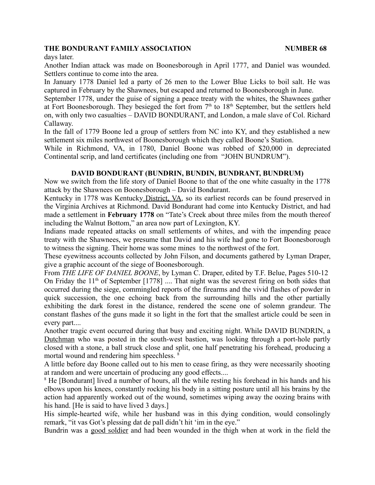days later.

Another Indian attack was made on Boonesborough in April 1777, and Daniel was wounded. Settlers continue to come into the area.

In January 1778 Daniel led a party of 26 men to the Lower Blue Licks to boil salt. He was captured in February by the Shawnees, but escaped and returned to Boonesborough in June.

September 1778, under the guise of signing a peace treaty with the whites, the Shawnees gather at Fort Boonesborough. They besieged the fort from  $7<sup>th</sup>$  to  $18<sup>th</sup>$  September, but the settlers held on, with only two casualties – DAVID BONDURANT, and London, a male slave of Col. Richard Callaway.

In the fall of 1779 Boone led a group of settlers from NC into KY, and they established a new settlement six miles northwest of Boonesborough which they called Boone's Station.

While in Richmond, VA, in 1780, Daniel Boone was robbed of \$20,000 in depreciated Continental scrip, and land certificates (including one from "JOHN BUNDRUM").

#### **DAVID BONDURANT (BUNDRIN, BUNDIN, BUNDRANT, BUNDRUM)**

Now we switch from the life story of Daniel Boone to that of the one white casualty in the 1778 attack by the Shawnees on Boonesborough – David Bondurant.

Kentucky in 1778 was Kentucky District, VA, so its earliest records can be found preserved in the Virginia Archives at Richmond. David Bondurant had come into Kentucky District, and had made a settlement in **February 1778** on "Tate's Creek about three miles from the mouth thereof including the Walnut Bottom," an area now part of Lexington, KY.

Indians made repeated attacks on small settlements of whites, and with the impending peace treaty with the Shawnees, we presume that David and his wife had gone to Fort Boonesborough to witness the signing. Their home was some mines to the northwest of the fort.

These eyewitness accounts collected by John Filson, and documents gathered by Lyman Draper, give a graphic account of the siege of Boonesborough.

From *THE LIFE OF DANIEL BOONE*, by Lyman C. Draper, edited by T.F. Belue, Pages 510-12 On Friday the  $11<sup>th</sup>$  of September [1778] .... That night was the severest firing on both sides that occurred during the siege, commingled reports of the firearms and the vivid flashes of powder in quick succession, the one echoing back from the surrounding hills and the other partially exhibiting the dark forest in the distance, rendered the scene one of solemn grandeur. The constant flashes of the guns made it so light in the fort that the smallest article could be seen in every part....

Another tragic event occurred during that busy and exciting night. While DAVID BUNDRIN, a Dutchman who was posted in the south-west bastion, was looking through a port-hole partly closed with a stone, a ball struck close and split, one half penetrating his forehead, producing a mortal wound and rendering him speechless. 8

A little before day Boone called out to his men to cease firing, as they were necessarily shooting at random and were uncertain of producing any good effects....

<sup>8</sup> He [Bondurant] lived a number of hours, all the while resting his forehead in his hands and his elbows upon his knees, constantly rocking his body in a sitting posture until all his brains by the action had apparently worked out of the wound, sometimes wiping away the oozing brains with his hand. [He is said to have lived 3 days.]

His simple-hearted wife, while her husband was in this dying condition, would consolingly remark, "it vas Got's plessing dat de pall didn't hit 'im in the eye."

Bundrin was a good soldier and had been wounded in the thigh when at work in the field the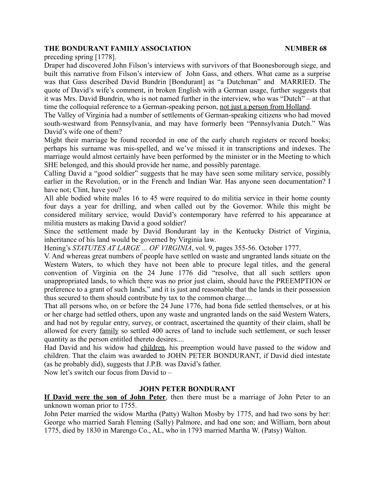preceding spring [1778].

Draper had discovered John Filson's interviews with survivors of that Boonesborough siege, and built this narrative from Filson's interview of John Gass, and others. What came as a surprise was that Gass described David Bundrin [Bondurant] as "a Dutchman" and MARRIED. The quote of David's wife's comment, in broken English with a German usage, further suggests that it was Mrs. David Bundrin, who is not named further in the interview, who was "Dutch" – at that time the colloquial reference to a German-speaking person, not just a person from Holland.

The Valley of Virginia had a number of settlements of German-speaking citizens who had moved south-westward from Pennsylvania, and may have formerly been "Pennsylvania Dutch." Was David's wife one of them?

Might their marriage be found recorded in one of the early church registers or record books; perhaps his surname was mis-spelled, and we've missed it in transcriptions and indexes. The marriage would almost certainly have been performed by the minister or in the Meeting to which SHE belonged, and this should provide her name, and possibly parentage.

Calling David a "good soldier" suggests that he may have seen some military service, possibly earlier in the Revolution, or in the French and Indian War. Has anyone seen documentation? I have not; Clint, have you?

All able bodied white males 16 to 45 were required to do militia service in their home county four days a year for drilling, and when called out by the Governor. While this might be considered military service, would David's contemporary have referred to his appearance at militia musters as making David a good soldier?

Since the settlement made by David Bondurant lay in the Kentucky District of Virginia, inheritance of his land would be governed by Virginia law.

Hening's *STATUTES AT LARGE ... OF VIRGINIA*, vol. 9, pages 355-56. October 1777.

V. And whereas great numbers of people have settled on waste and ungranted lands situate on the Western Waters, to which they have not been able to procure legal titles, and the general convention of Virginia on the 24 June 1776 did "resolve, that all such settlers upon unappropriated lands, to which there was no prior just claim, should have the PREEMPTION or preference to a grant of such lands," and it is just and reasonable that the lands in their possession thus secured to them should contribute by tax to the common charge....

That all persons who, on or before the 24 June 1776, had bona fide settled themselves, or at his or her charge had settled others, upon any waste and ungranted lands on the said Western Waters, and had not by regular entry, survey, or contract, ascertained the quantity of their claim, shall be allowed for every family so settled 400 acres of land to include such settlement, or such lesser quantity as the person entitled thereto desires....

Had David and his widow had children, his preemption would have passed to the widow and children. That the claim was awarded to JOHN PETER BONDURANT, if David died intestate (as he probably did), suggests that J.P.B. was David's father.

Now let's switch our focus from David to –

# **JOHN PETER BONDURANT**

**If David were the son of John Peter**, then there must be a marriage of John Peter to an unknown woman prior to 1755.

John Peter married the widow Martha (Patty) Walton Mosby by 1775, and had two sons by her: George who married Sarah Fleming (Sally) Palmore, and had one son; and William, born about 1775, died by 1830 in Marengo Co., AL, who in 1793 married Martha W. (Patsy) Walton.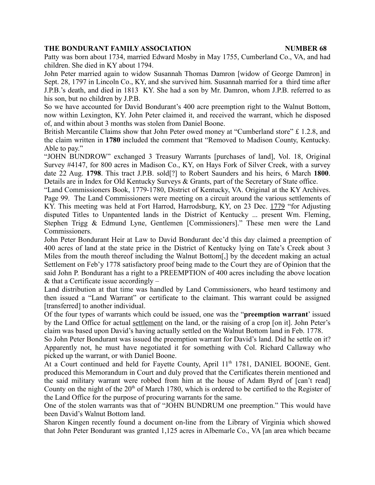Patty was born about 1734, married Edward Mosby in May 1755, Cumberland Co., VA, and had children. She died in KY about 1794.

John Peter married again to widow Susannah Thomas Damron [widow of George Damron] in Sept. 28, 1797 in Lincoln Co., KY, and she survived him. Susannah married for a third time after J.P.B.'s death, and died in 1813 KY. She had a son by Mr. Damron, whom J.P.B. referred to as his son, but no children by J.P.B.

So we have accounted for David Bondurant's 400 acre preemption right to the Walnut Bottom, now within Lexington, KY. John Peter claimed it, and received the warrant, which he disposed of, and within about 3 months was stolen from Daniel Boone.

British Mercantile Claims show that John Peter owed money at "Cumberland store" £ 1.2.8, and the claim written in **1780** included the comment that "Removed to Madison County, Kentucky. Able to pay."

"JOHN BUNDROW" exchanged 3 Treasury Warrants [purchases of land], Vol. 18, Original Survey #4147, for 800 acres in Madison Co., KY, on Hays Fork of Silver Creek, with a survey date 22 Aug. **1798**. This tract J.P.B. sold[?] to Robert Saunders and his heirs, 6 March **1800**. Details are in Index for Old Kentucky Surveys & Grants, part of the Secretary of State office.

"Land Commissioners Book, 1779-1780, District of Kentucky, VA. Original at the KY Archives. Page 99. The Land Commissioners were meeting on a circuit around the various settlements of KY. This meeting was held at Fort Harrod, Harrodsburg, KY, on 23 Dec. 1779 "for Adjusting disputed Titles to Unpantented lands in the District of Kentucky ... present Wm. Fleming, Stephen Trigg & Edmund Lyne, Gentlemen [Commissioners]." These men were the Land Commissioners.

John Peter Bondurant Heir at Law to David Bondurant dec'd this day claimed a preemption of 400 acres of land at the state price in the District of Kentucky lying on Tate's Creek about 3 Miles from the mouth thereof including the Walnut Bottom[,] by the decedent making an actual Settlement on Feb'y 1778 satisfactory proof being made to the Court they are of Opinion that the said John P. Bondurant has a right to a PREEMPTION of 400 acres including the above location  $&$  that a Certificate issue accordingly  $-$ 

Land distribution at that time was handled by Land Commissioners, who heard testimony and then issued a "Land Warrant" or certificate to the claimant. This warrant could be assigned [transferred] to another individual.

Of the four types of warrants which could be issued, one was the "**preemption warrant**' issued by the Land Office for actual settlement on the land, or the raising of a crop [on it]. John Peter's claim was based upon David's having actually settled on the Walnut Bottom land in Feb. 1778.

So John Peter Bondurant was issued the preemption warrant for David's land. Did he settle on it? Apparently not, he must have negotiated it for something with Col. Richard Callaway who picked up the warrant, or with Daniel Boone.

At a Court continued and held for Fayette County, April 11<sup>th</sup> 1781, DANIEL BOONE, Gent. produced this Memorandum in Court and duly proved that the Certificates therein mentioned and the said military warrant were robbed from him at the house of Adam Byrd of [can't read] County on the night of the  $20<sup>th</sup>$  of March 1780, which is ordered to be certified to the Register of the Land Office for the purpose of procuring warrants for the same.

One of the stolen warrants was that of "JOHN BUNDRUM one preemption." This would have been David's Walnut Bottom land.

Sharon Kingen recently found a document on-line from the Library of Virginia which showed that John Peter Bondurant was granted 1,125 acres in Albemarle Co., VA [an area which became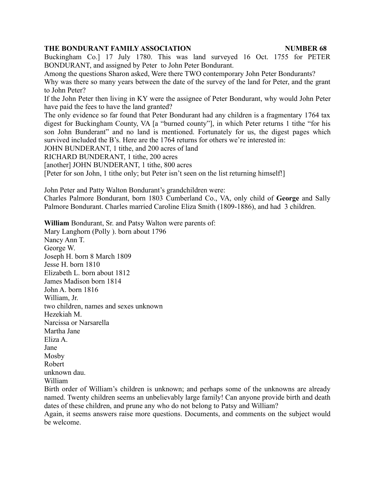Buckingham Co.] 17 July 1780. This was land surveyed 16 Oct. 1755 for PETER BONDURANT, and assigned by Peter to John Peter Bondurant.

Among the questions Sharon asked, Were there TWO contemporary John Peter Bondurants?

Why was there so many years between the date of the survey of the land for Peter, and the grant to John Peter?

If the John Peter then living in KY were the assignee of Peter Bondurant, why would John Peter have paid the fees to have the land granted?

The only evidence so far found that Peter Bondurant had any children is a fragmentary 1764 tax digest for Buckingham County, VA [a "burned county"], in which Peter returns 1 tithe "for his son John Bunderant" and no land is mentioned. Fortunately for us, the digest pages which survived included the B's. Here are the 1764 returns for others we're interested in:

JOHN BUNDERANT, 1 tithe, and 200 acres of land

RICHARD BUNDERANT, 1 tithe, 200 acres

[another] JOHN BUNDERANT, 1 tithe, 800 acres

[Peter for son John, 1 tithe only; but Peter isn't seen on the list returning himself!]

John Peter and Patty Walton Bondurant's grandchildren were:

Charles Palmore Bondurant, born 1803 Cumberland Co., VA, only child of **George** and Sally Palmore Bondurant. Charles married Caroline Eliza Smith (1809-1886), and had 3 children.

**William** Bondurant, Sr. and Patsy Walton were parents of:

Mary Langhorn (Polly ). born about 1796 Nancy Ann T. George W. Joseph H. born 8 March 1809 Jesse H. born 1810 Elizabeth L. born about 1812 James Madison born 1814 John A. born 1816 William, Jr. two children, names and sexes unknown Hezekiah M. Narcissa or Narsarella Martha Jane Eliza A. Jane Mosby Robert unknown dau. William

Birth order of William's children is unknown; and perhaps some of the unknowns are already named. Twenty children seems an unbelievably large family! Can anyone provide birth and death dates of these children, and prune any who do not belong to Patsy and William?

Again, it seems answers raise more questions. Documents, and comments on the subject would be welcome.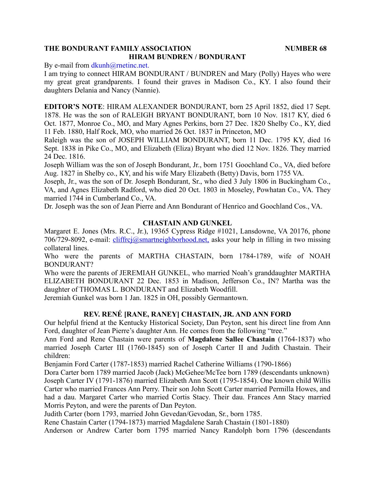# **THE BONDURANT FAMILY ASSOCIATION NUMBER 68 HIRAM BUNDREN / BONDURANT**

By e-mail from dkunh@rnetinc.net.

I am trying to connect HIRAM BONDURANT / BUNDREN and Mary (Polly) Hayes who were my great great grandparents. I found their graves in Madison Co., KY. I also found their daughters Delania and Nancy (Nannie).

**EDITOR'S NOTE**: HIRAM ALEXANDER BONDURANT, born 25 April 1852, died 17 Sept. 1878. He was the son of RALEIGH BRYANT BONDURANT, born 10 Nov. 1817 KY, died 6 Oct. 1877, Monroe Co., MO, and Mary Agnes Perkins, born 27 Dec. 1820 Shelby Co., KY, died 11 Feb. 1880, Half Rock, MO, who married 26 Oct. 1837 in Princeton, MO

Raleigh was the son of JOSEPH WILLIAM BONDURANT, born 11 Dec. 1795 KY, died 16 Sept. 1838 in Pike Co., MO, and Elizabeth (Eliza) Bryant who died 12 Nov. 1826. They married 24 Dec. 1816.

Joseph William was the son of Joseph Bondurant, Jr., born 1751 Goochland Co., VA, died before Aug. 1827 in Shelby co., KY, and his wife Mary Elizabeth (Betty) Davis, born 1755 VA.

Joseph, Jr., was the son of Dr. Joseph Bondurant, Sr., who died 3 July 1806 in Buckingham Co., VA, and Agnes Elizabeth Radford, who died 20 Oct. 1803 in Moseley, Powhatan Co., VA. They married 1744 in Cumberland Co., VA.

Dr. Joseph was the son of Jean Pierre and Ann Bondurant of Henrico and Goochland Cos., VA.

# **CHASTAIN AND GUNKEL**

Margaret E. Jones (Mrs. R.C., Jr.), 19365 Cypress Ridge #1021, Lansdowne, VA 20176, phone 706/729-8092, e-mail: cliffrcj@smartneighborhood.net, asks your help in filling in two missing collateral lines.

Who were the parents of MARTHA CHASTAIN, born 1784-1789, wife of NOAH BONDURANT?

Who were the parents of JEREMIAH GUNKEL, who married Noah's granddaughter MARTHA ELIZABETH BONDURANT 22 Dec. 1853 in Madison, Jefferson Co., IN? Martha was the daughter of THOMAS L. BONDURANT and Elizabeth Woodfill.

Jeremiah Gunkel was born 1 Jan. 1825 in OH, possibly Germantown.

# **REV. RENÉ [RANE, RANEY] CHASTAIN, JR. AND ANN FORD**

Our helpful friend at the Kentucky Historical Society, Dan Peyton, sent his direct line from Ann Ford, daughter of Jean Pierre's daughter Ann. He comes from the following "tree."

Ann Ford and Rene Chastain were parents of **Magdalene Sallee Chastain** (1764-1837) who married Joseph Carter III (1760-1845) son of Joseph Carter II and Judith Chastain. Their children:

Benjamin Ford Carter (1787-1853) married Rachel Catherine Williams (1790-1866)

Dora Carter born 1789 married Jacob (Jack) McGehee/McTee born 1789 (descendants unknown) Joseph Carter IV (1791-1876) married Elizabeth Ann Scott (1795-1854). One known child Willis Carter who married Frances Ann Perry. Their son John Scott Carter married Permilla Howes, and had a dau. Margaret Carter who married Cortis Stacy. Their dau. Frances Ann Stacy married Morris Peyton, and were the parents of Dan Peyton.

Judith Carter (born 1793, married John Gevedan/Gevodan, Sr., born 1785.

Rene Chastain Carter (1794-1873) married Magdalene Sarah Chastain (1801-1880)

Anderson or Andrew Carter born 1795 married Nancy Randolph born 1796 (descendants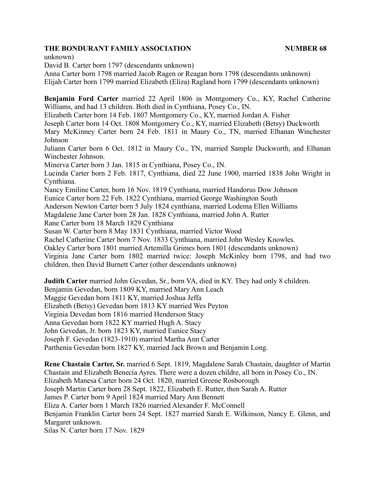unknown)

David B. Carter born 1797 (descendants unknown)

Anna Carter born 1798 married Jacob Ragen or Reagan born 1798 (descendants unknown) Elijah Carter born 1799 married Elizabeth (Eliza) Ragland born 1799 (descendants unknown)

**Benjamin Ford Carter** married 22 April 1806 in Montgomery Co., KY, Rachel Catherine Williams, and had 13 children. Both died in Cynthiana, Posey Co., IN.

Elizabeth Carter born 14 Feb. 1807 Montgomery Co., KY, married Jordan A. Fisher

Joseph Carter born 14 Oct. 1808 Montgomery Co., KY, married Elizabeth (Betsy) Duckworth

Mary McKinney Carter born 24 Feb. 1811 in Maury Co., TN, married Elhanan Winchester Johnson

Juliann Carter born 6 Oct. 1812 in Maury Co., TN, married Sample Duckworth, and Elhanan Winchester Johnson.

Minerva Carter born 3 Jan. 1815 in Cynthiana, Posey Co., IN.

Lucinda Carter born 2 Feb. 1817, Cynthiana, died 22 June 1900, married 1838 John Wright in Cynthiana.

Nancy Emiline Carter, born 16 Nov. 1819 Cynthiana, married Handorus Dow Johnson

Eunice Carter born 22 Feb. 1822 Cynthiana, married George Washington South

Anderson Newton Carter born 5 July 1824 cynthiana, married Lodema Ellen Williams

Magdalene Jane Carter born 28 Jan. 1828 Cynthiana, married John A. Rutter

Rane Carter born 18 March 1829 Cynthiana

Susan W. Carter born 8 May 1831 Cynthiana, married Victor Wood

Rachel Catherine Carter born 7 Nov. 1833 Cynthiana, married John Wesley Knowles.

Oakley Carter born 1801 married Artemilla Grimes born 1801 (descendants unknown)

Virginia Jane Carter born 1802 married twice: Joseph McKinley born 1798, and had two children, then David Burnett Carter (other descendants unknown)

**Judith Carter** married John Gevedan, Sr., born VA, died in KY. They had only 8 children. Benjamin Gevedan, born 1809 KY, married Mary Ann Leach Maggie Gevedan born 1811 KY, married Joshua Jeffa Elizabeth (Betsy) Gevedan born 1813 KY married Wes Peyton Virginia Devedan born 1816 married Henderson Stacy Anna Gevedan born 1822 KY married Hugh A. Stacy John Gevedan, Jr. born 1823 KY, married Eunice Stacy Joseph F. Gevedan (1823-1910) married Martha Ann Carter Parthenia Gevedan born 1827 KY, married Jack Brown and Benjamin Long.

**Rene Chastain Carter, Sr.** married 6 Sept. 1819, Magdalene Sarah Chastain, daughter of Martin Chastain and Elizabeth Benecia Ayres. There were a dozen childre, all born in Posey Co., IN. Elizabeth Manesa Carter born 24 Oct. 1820, married Greene Rosborough Joseph Martin Carter born 28 Sept. 1822, Elizabeth E. Rutter, then Sarah A. Rutter James P. Carter born 9 April 1824 married Mary Ann Bennett Eliza A. Carter born 1 March 1826 married Alexander F. McConnell Benjamin Franklin Carter born 24 Sept. 1827 married Sarah E. Wilkinson, Nancy E. Glenn, and Margaret unknown. Silas N. Carter born 17 Nov. 1829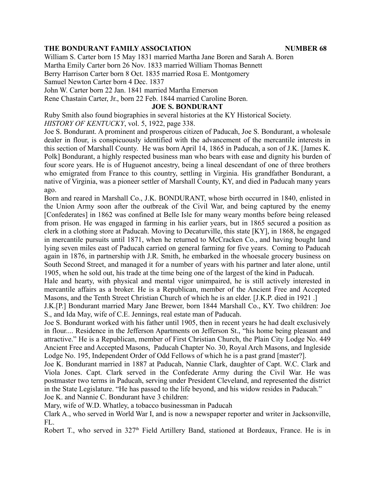William S. Carter born 15 May 1831 married Martha Jane Boren and Sarah A. Boren Martha Emily Carter born 26 Nov. 1833 married William Thomas Bennett Berry Harrison Carter born 8 Oct. 1835 married Rosa E. Montgomery Samuel Newton Carter born 4 Dec. 1837

John W. Carter born 22 Jan. 1841 married Martha Emerson

Rene Chastain Carter, Jr., born 22 Feb. 1844 married Caroline Boren.

## **JOE S. BONDURANT**

Ruby Smith also found biographies in several histories at the KY Historical Society. *HISTORY OF KENTUCKY*, vol. 5, 1922, page 338.

Joe S. Bondurant. A prominent and prosperous citizen of Paducah, Joe S. Bondurant, a wholesale dealer in flour, is conspicuously identified with the advancement of the mercantile interests in this section of Marshall County. He was born April 14, 1865 in Paducah, a son of J.K. [James K. Polk] Bondurant, a highly respected business man who bears with ease and dignity his burden of four score years. He is of Huguenot ancestry, being a lineal descendant of one of three brothers who emigrated from France to this country, settling in Virginia. His grandfather Bondurant, a native of Virginia, was a pioneer settler of Marshall County, KY, and died in Paducah many years ago.

Born and reared in Marshall Co., J.K. BONDURANT, whose birth occurred in 1840, enlisted in the Union Army soon after the outbreak of the Civil War, and being captured by the enemy [Confederates] in 1862 was confined at Belle Isle for many weary months before being released from prison. He was engaged in farming in his earlier years, but in 1865 secured a position as clerk in a clothing store at Paducah. Moving to Decaturville, this state [KY], in 1868, he engaged in mercantile pursuits until 1871, when he returned to McCracken Co., and having bought land lying seven miles east of Paducah carried on general farming for five years. Coming to Paducah again in 1876, in partnership with J.R. Smith, he embarked in the whoesale grocery business on South Second Street, and managed it for a number of years with his partner and later alone, until 1905, when he sold out, his trade at the time being one of the largest of the kind in Paducah.

Hale and hearty, with physical and mental vigor unimpaired, he is still actively interested in mercantile affairs as a broker. He is a Republican, member of the Ancient Free and Accepted Masons, and the Tenth Street Christian Church of which he is an elder. [J.K.P. died in 1921 .]

J.K.[P.] Bondurant married Mary Jane Brewer, born 1844 Marshall Co., KY. Two children: Joe S., and Ida May, wife of C.E. Jennings, real estate man of Paducah.

Joe S. Bondurant worked with his father until 1905, then in recent years he had dealt exclusively in flour.... Residence in the Jefferson Apartments on Jefferson St., "his home being pleasant and attractive." He is a Republican, member of First Christian Church, the Plain City Lodge No. 449 Ancient Free and Accepted Masons, Paducah Chapter No. 30, Royal Arch Masons, and Ingleside Lodge No. 195, Independent Order of Odd Fellows of which he is a past grand [master?].

Joe K. Bondurant married in 1887 at Paducah, Nannie Clark, daughter of Capt. W.C. Clark and Viola Jones. Capt. Clark served in the Confederate Army during the Civil War. He was postmaster two terms in Paducah, serving under President Cleveland, and represented the district in the State Legislature. "He has passed to the life beyond, and his widow resides in Paducah." Joe K. and Nannie C. Bondurant have 3 children:

Mary, wife of W.D. Whatley, a tobacco businessman in Paducah

Clark A., who served in World War I, and is now a newspaper reporter and writer in Jacksonville, FL.

Robert T., who served in 327<sup>th</sup> Field Artillery Band, stationed at Bordeaux, France. He is in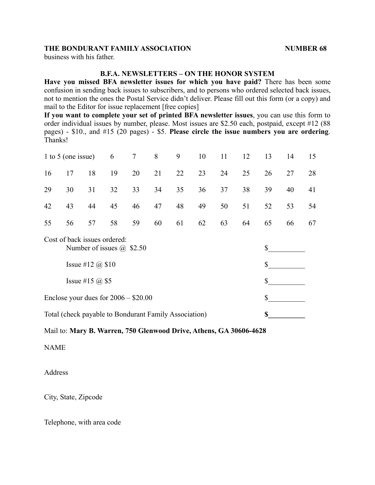business with his father.

#### **B.F.A. NEWSLETTERS – ON THE HONOR SYSTEM**

**Have you missed BFA newsletter issues for which you have paid?** There has been some confusion in sending back issues to subscribers, and to persons who ordered selected back issues, not to mention the ones the Postal Service didn't deliver. Please fill out this form (or a copy) and mail to the Editor for issue replacement [free copies]

**If you want to complete your set of printed BFA newsletter issues**, you can use this form to order individual issues by number, please. Most issues are \$2.50 each, postpaid, except #12 (88 pages) - \$10., and #15 (20 pages) - \$5. **Please circle the issue numbers you are ordering**. Thanks!

| 1 to 5 (one issue)                                               |                         |    | 6  | $\tau$ | 8  | 9  | 10 | 11 | 12 | 13 | 14 | 15 |
|------------------------------------------------------------------|-------------------------|----|----|--------|----|----|----|----|----|----|----|----|
| 16                                                               | 17                      | 18 | 19 | 20     | 21 | 22 | 23 | 24 | 25 | 26 | 27 | 28 |
| 29                                                               | 30                      | 31 | 32 | 33     | 34 | 35 | 36 | 37 | 38 | 39 | 40 | 41 |
| 42                                                               | 43                      | 44 | 45 | 46     | 47 | 48 | 49 | 50 | 51 | 52 | 53 | 54 |
| 55                                                               | 56                      | 57 | 58 | 59     | 60 | 61 | 62 | 63 | 64 | 65 | 66 | 67 |
| Cost of back issues ordered:<br>Number of issues $\omega$ \$2.50 |                         |    |    |        |    |    |    |    |    | \$ |    |    |
|                                                                  | Issue #12 $\omega$ \$10 |    |    |        |    |    |    |    |    | \$ |    |    |
|                                                                  | Issue #15 $@$ \$5       |    |    |        |    |    |    |    |    | \$ |    |    |

Enclose your dues for  $2006 - $20.00$  \$

Total (check payable to Bondurant Family Association) **\$\_\_\_\_\_\_\_\_\_\_**

#### Mail to: **Mary B. Warren, 750 Glenwood Drive, Athens, GA 30606-4628**

NAME

Address

City, State, Zipcode

Telephone, with area code